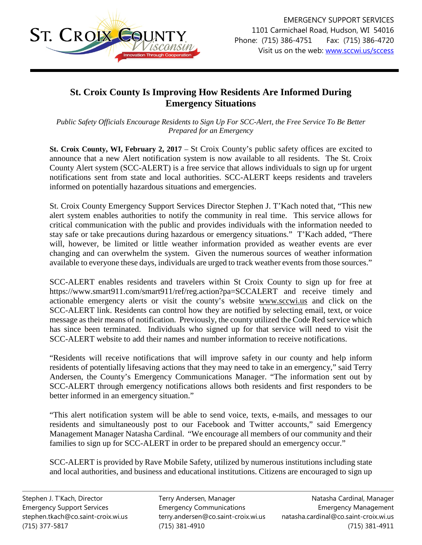

## **St. Croix County Is Improving How Residents Are Informed During Emergency Situations**

*Public Safety Officials Encourage Residents to Sign Up For SCC-Alert, the Free Service To Be Better Prepared for an Emergency*

**St. Croix County, WI, February 2, 2017** – St Croix County's public safety offices are excited to announce that a new Alert notification system is now available to all residents. The St. Croix County Alert system (SCC-ALERT) is a free service that allows individuals to sign up for urgent notifications sent from state and local authorities. SCC-ALERT keeps residents and travelers informed on potentially hazardous situations and emergencies.

St. Croix County Emergency Support Services Director Stephen J. T'Kach noted that, "This new alert system enables authorities to notify the community in real time. This service allows for critical communication with the public and provides individuals with the information needed to stay safe or take precautions during hazardous or emergency situations." T'Kach added, "There will, however, be limited or little weather information provided as weather events are ever changing and can overwhelm the system. Given the numerous sources of weather information available to everyone these days, individuals are urged to track weather events from those sources."

SCC-ALERT enables residents and travelers within St Croix County to sign up for free at <https://www.smart911.com/smart911/ref/reg.action?pa=SCCALERT> and receive timely and actionable emergency alerts or visit the county's website [www.sccwi.us](http://www.sccwi.us/) and click on the SCC-ALERT link. Residents can control how they are notified by selecting email, text, or voice message as their means of notification. Previously, the county utilized the Code Red service which has since been terminated. Individuals who signed up for that service will need to visit the SCC-ALERT website to add their names and number information to receive notifications.

"Residents will receive notifications that will improve safety in our county and help inform residents of potentially lifesaving actions that they may need to take in an emergency," said Terry Andersen, the County's Emergency Communications Manager. "The information sent out by SCC-ALERT through emergency notifications allows both residents and first responders to be better informed in an emergency situation."

"This alert notification system will be able to send voice, texts, e-mails, and messages to our residents and simultaneously post to our Facebook and Twitter accounts," said Emergency Management Manager Natasha Cardinal. "We encourage all members of our community and their families to sign up for SCC-ALERT in order to be prepared should an emergency occur."

SCC-ALERT is provided by Rave Mobile Safety, utilized by numerous institutions including state and local authorities, and business and educational institutions. Citizens are encouraged to sign up